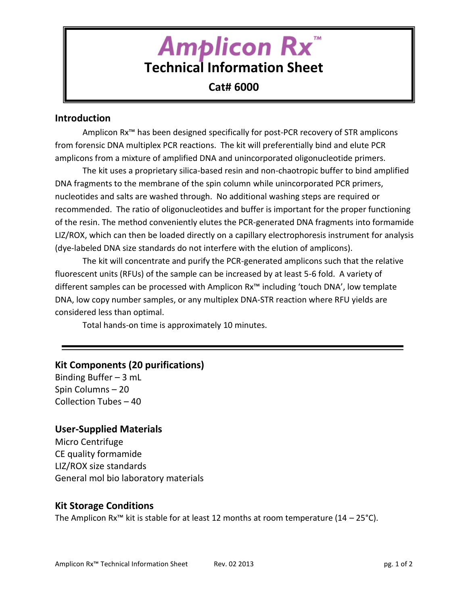# **Amplicon Rx Technical Information Sheet**

# **Cat# 6000**

#### **Introduction**

Amplicon Rx™ has been designed specifically for post-PCR recovery of STR amplicons from forensic DNA multiplex PCR reactions. The kit will preferentially bind and elute PCR amplicons from a mixture of amplified DNA and unincorporated oligonucleotide primers.

The kit uses a proprietary silica-based resin and non-chaotropic buffer to bind amplified DNA fragments to the membrane of the spin column while unincorporated PCR primers, nucleotides and salts are washed through. No additional washing steps are required or recommended. The ratio of oligonucleotides and buffer is important for the proper functioning of the resin. The method conveniently elutes the PCR-generated DNA fragments into formamide LIZ/ROX, which can then be loaded directly on a capillary electrophoresis instrument for analysis (dye-labeled DNA size standards do not interfere with the elution of amplicons).

The kit will concentrate and purify the PCR-generated amplicons such that the relative fluorescent units (RFUs) of the sample can be increased by at least 5-6 fold. A variety of different samples can be processed with Amplicon Rx™ including 'touch DNA', low template DNA, low copy number samples, or any multiplex DNA-STR reaction where RFU yields are considered less than optimal.

Total hands-on time is approximately 10 minutes.

## **Kit Components (20 purifications)**

Binding Buffer – 3 mL Spin Columns – 20 Collection Tubes – 40

#### **User-Supplied Materials**

Micro Centrifuge CE quality formamide LIZ/ROX size standards General mol bio laboratory materials

## **Kit Storage Conditions**

The Amplicon Rx<sup>™</sup> kit is stable for at least 12 months at room temperature (14 – 25°C).